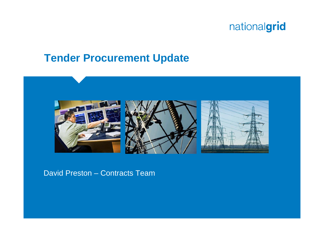#### **Tender Procurement Update**



#### David Preston – Contracts Team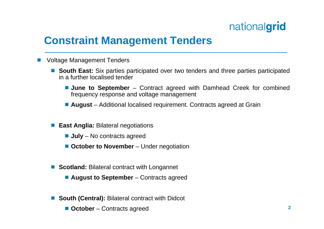### **Constraint Management Tenders**

- F. Voltage Management Tenders
	- **South East:** Six parties participated over two tenders and three parties participated in a further localised tender
		- **June to September** Contract agreed with Damhead Creek for combined frequency response and voltage management
		- **August** Additional localised requirement. Contracts agreed at Grain
	- **East Anglia: Bilateral negotiations** 
		- **July** No contracts agreed
		- October to November Under negotiation
	- **Scotland:** Bilateral contract with Longannet
		- **August to September** Contracts agreed
	- **South (Central):** Bilateral contract with Didcot
		- **October**  Contracts agreed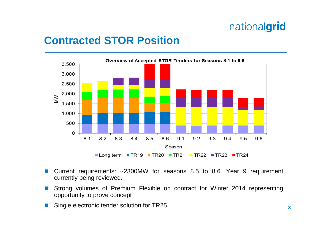#### **Contracted STOR Position**



- p. Current requirements: ~2300MW for seasons 8.5 to 8.6. Year 9 requirement currently being reviewed.
- $\overline{\mathbb{R}}$  Strong volumes of Premium Flexible on contract for Winter 2014 representing opportunity to prove concept
- p. Single electronic tender solution for TR25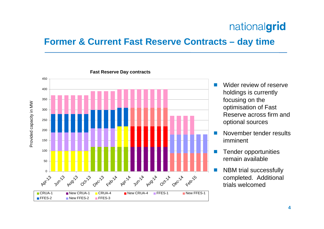#### **Former & Current Fast Reserve Contracts – day time**



- m, Wider review of reserve holdings is currently focusing on the optimisation of Fast Reserve across firm and optional sources
- m, November tender results imminent
- F Tender opportunities remain available
- F NBM trial successfully completed. Additional trials welcomed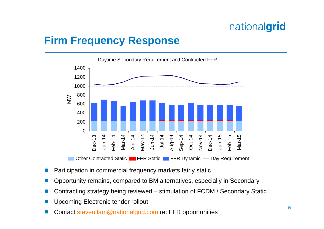#### **Firm Frequency Response**



- $\overline{\mathbb{R}}$ Participation in commercial frequency markets fairly static
- $\overline{\mathbb{R}}$ Opportunity remains, compared to BM alternatives, especially in Secondary
- $\overline{\mathbb{R}}$ Contracting strategy being reviewed – stimulation of FCDM / Secondary Static
- $\overline{\mathbb{R}}$ Upcoming Electronic tender rollout
- $\overline{\mathbb{R}}$ Contact steven.lam@nationalgrid.com re: FFR opportunities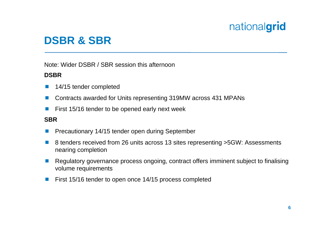## **DSBR & SBR**

Note: Wider DSBR / SBR session this afternoon

#### **DSBR**

- $\left\vert \cdot\right\vert$ 14/15 tender completed
- $\sim$ Contracts awarded for Units representing 319MW across 431 MPANs
- $\vert \cdot \vert$ First 15/16 tender to be opened early next week

#### **SBR**

- **The Second** Precautionary 14/15 tender open during September
- **The State**  8 tenders received from 26 units across 13 sites representing >5GW: Assessments nearing completion
- m. Regulatory governance process ongoing, contract offers imminent subject to finalising volume requirements
- $\sim$ First 15/16 tender to open once 14/15 process completed